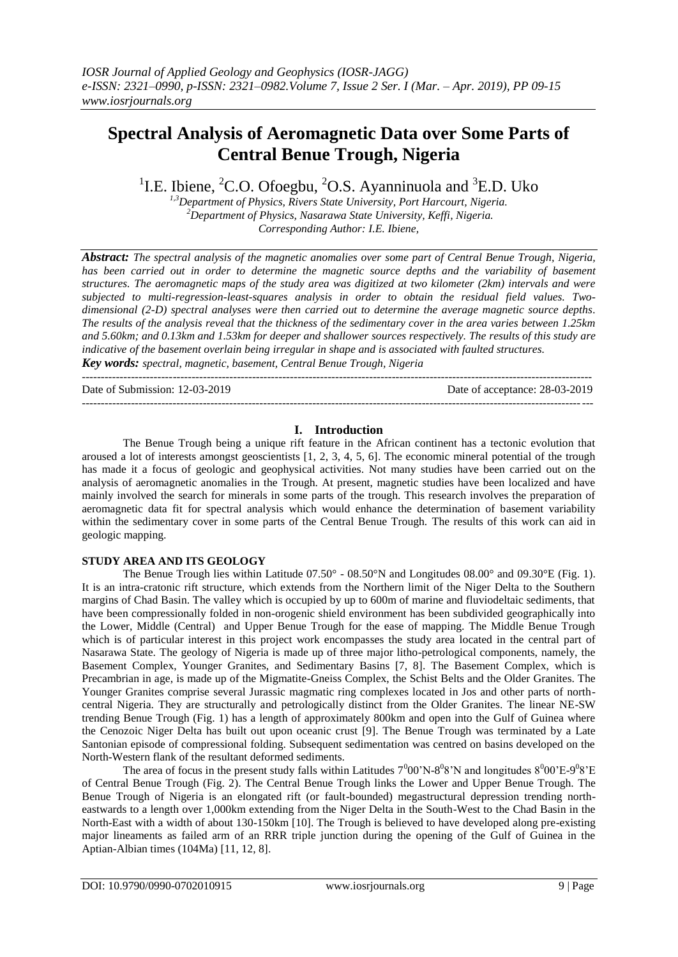# **Spectral Analysis of Aeromagnetic Data over Some Parts of Central Benue Trough, Nigeria**

<sup>1</sup>I.E. Ibiene, <sup>2</sup>C.O. Ofoegbu, <sup>2</sup>O.S. Ayanninuola and <sup>3</sup>E.D. Uko

*1,3Department of Physics, Rivers State University, Port Harcourt, Nigeria. <sup>2</sup>Department of Physics, Nasarawa State University, Keffi, Nigeria. Corresponding Author: I.E. Ibiene,*

*Abstract: The spectral analysis of the magnetic anomalies over some part of Central Benue Trough, Nigeria, has been carried out in order to determine the magnetic source depths and the variability of basement structures. The aeromagnetic maps of the study area was digitized at two kilometer (2km) intervals and were subjected to multi-regression-least-squares analysis in order to obtain the residual field values. Twodimensional (2-D) spectral analyses were then carried out to determine the average magnetic source depths. The results of the analysis reveal that the thickness of the sedimentary cover in the area varies between 1.25km and 5.60km; and 0.13km and 1.53km for deeper and shallower sources respectively. The results of this study are indicative of the basement overlain being irregular in shape and is associated with faulted structures. Key words: spectral, magnetic, basement, Central Benue Trough, Nigeria*

---------------------------------------------------------------------------------------------------------------------------------------

Date of Submission: 12-03-2019 Date of acceptance: 28-03-2019

---------------------------------------------------------------------------------------------------------------------------------------

## **I. Introduction**

The Benue Trough being a unique rift feature in the African continent has a tectonic evolution that aroused a lot of interests amongst geoscientists [1, 2, 3, 4, 5, 6]. The economic mineral potential of the trough has made it a focus of geologic and geophysical activities. Not many studies have been carried out on the analysis of aeromagnetic anomalies in the Trough. At present, magnetic studies have been localized and have mainly involved the search for minerals in some parts of the trough. This research involves the preparation of aeromagnetic data fit for spectral analysis which would enhance the determination of basement variability within the sedimentary cover in some parts of the Central Benue Trough. The results of this work can aid in geologic mapping.

## **STUDY AREA AND ITS GEOLOGY**

The Benue Trough lies within Latitude 07.50° - 08.50°N and Longitudes 08.00° and 09.30°E (Fig. 1). It is an intra-cratonic rift structure, which extends from the Northern limit of the Niger Delta to the Southern margins of Chad Basin. The valley which is occupied by up to 600m of marine and fluviodeltaic sediments, that have been compressionally folded in non-orogenic shield environment has been subdivided geographically into the Lower, Middle (Central) and Upper Benue Trough for the ease of mapping. The Middle Benue Trough which is of particular interest in this project work encompasses the study area located in the central part of Nasarawa State. The geology of Nigeria is made up of three major litho-petrological components, namely, the Basement Complex, Younger Granites, and Sedimentary Basins [7, 8]. The Basement Complex, which is Precambrian in age, is made up of the Migmatite-Gneiss Complex, the Schist Belts and the Older Granites. The Younger Granites comprise several Jurassic magmatic ring complexes located in Jos and other parts of northcentral Nigeria. They are structurally and petrologically distinct from the Older Granites. The linear NE-SW trending Benue Trough (Fig. 1) has a length of approximately 800km and open into the Gulf of Guinea where the Cenozoic Niger Delta has built out upon oceanic crust [9]. The Benue Trough was terminated by a Late Santonian episode of compressional folding. Subsequent sedimentation was centred on basins developed on the North-Western flank of the resultant deformed sediments.

The area of focus in the present study falls within Latitudes  $7^000'N-8^08'N$  and longitudes  $8^000'E-9^08'E$ of Central Benue Trough (Fig. 2). The Central Benue Trough links the Lower and Upper Benue Trough. The Benue Trough of Nigeria is an elongated rift (or fault-bounded) megastructural depression trending northeastwards to a length over 1,000km extending from the Niger Delta in the South-West to the Chad Basin in the North-East with a width of about 130-150km [10]. The Trough is believed to have developed along pre-existing major lineaments as failed arm of an RRR triple junction during the opening of the Gulf of Guinea in the Aptian-Albian times (104Ma) [11, 12, 8].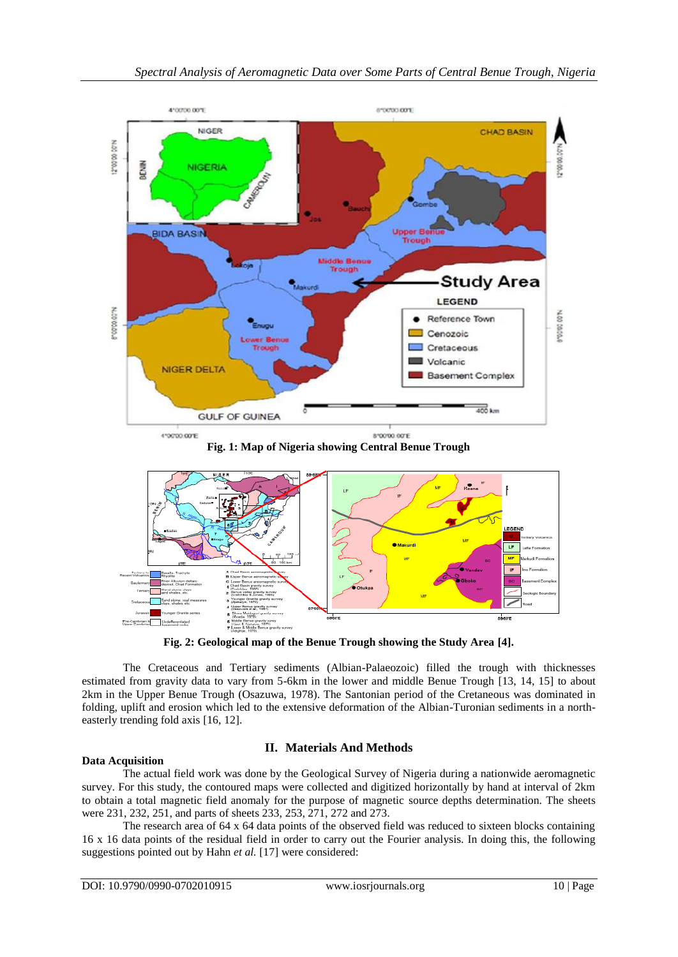

**Fig. 1: Map of Nigeria showing Central Benue Trough**



**Fig. 2: Geological map of the Benue Trough showing the Study Area [4].**

The Cretaceous and Tertiary sediments (Albian-Palaeozoic) filled the trough with thicknesses estimated from gravity data to vary from 5-6km in the lower and middle Benue Trough [13, 14, 15] to about 2km in the Upper Benue Trough (Osazuwa, 1978). The Santonian period of the Cretaneous was dominated in folding, uplift and erosion which led to the extensive deformation of the Albian-Turonian sediments in a northeasterly trending fold axis [16, 12].

# **II. Materials And Methods**

# **Data Acquisition**

The actual field work was done by the Geological Survey of Nigeria during a nationwide aeromagnetic survey. For this study, the contoured maps were collected and digitized horizontally by hand at interval of 2km to obtain a total magnetic field anomaly for the purpose of magnetic source depths determination. The sheets were 231, 232, 251, and parts of sheets 233, 253, 271, 272 and 273.

The research area of 64 x 64 data points of the observed field was reduced to sixteen blocks containing 16 x 16 data points of the residual field in order to carry out the Fourier analysis. In doing this, the following suggestions pointed out by Hahn *et al.* [17] were considered: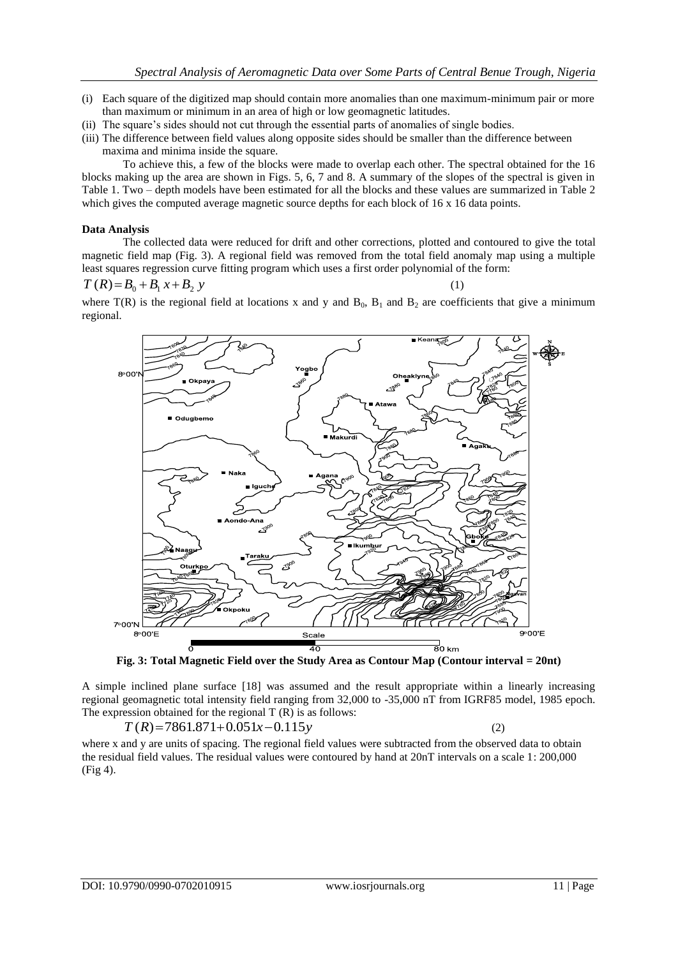- (i) Each square of the digitized map should contain more anomalies than one maximum-minimum pair or more than maximum or minimum in an area of high or low geomagnetic latitudes.
- (ii) The square's sides should not cut through the essential parts of anomalies of single bodies.
- (iii) The difference between field values along opposite sides should be smaller than the difference between maxima and minima inside the square.

To achieve this, a few of the blocks were made to overlap each other. The spectral obtained for the 16 blocks making up the area are shown in Figs. 5, 6, 7 and 8. A summary of the slopes of the spectral is given in Table 1. Two – depth models have been estimated for all the blocks and these values are summarized in Table 2 which gives the computed average magnetic source depths for each block of 16 x 16 data points.

#### **Data Analysis**

The collected data were reduced for drift and other corrections, plotted and contoured to give the total magnetic field map (Fig. 3). A regional field was removed from the total field anomaly map using a multiple least squares regression curve fitting program which uses a first order polynomial of the form:

$$
T(R) = B_0 + B_1 x + B_2 y
$$

 $(1)$ 

where  $T(R)$  is the regional field at locations x and y and  $B_0$ ,  $B_1$  and  $B_2$  are coefficients that give a minimum regional.



**Fig. 3: Total Magnetic Field over the Study Area as Contour Map (Contour interval = 20nt)**

A simple inclined plane surface [18] was assumed and the result appropriate within a linearly increasing regional geomagnetic total intensity field ranging from 32,000 to -35,000 nT from IGRF85 model, 1985 epoch. The expression obtained for the regional  $T(R)$  is as follows:

 $T(R) = 7861.871 + 0.051x - 0.115y$ 

where x and y are units of spacing. The regional field values were subtracted from the observed data to obtain the residual field values. The residual values were contoured by hand at 20nT intervals on a scale 1: 200,000 (Fig 4).

(2)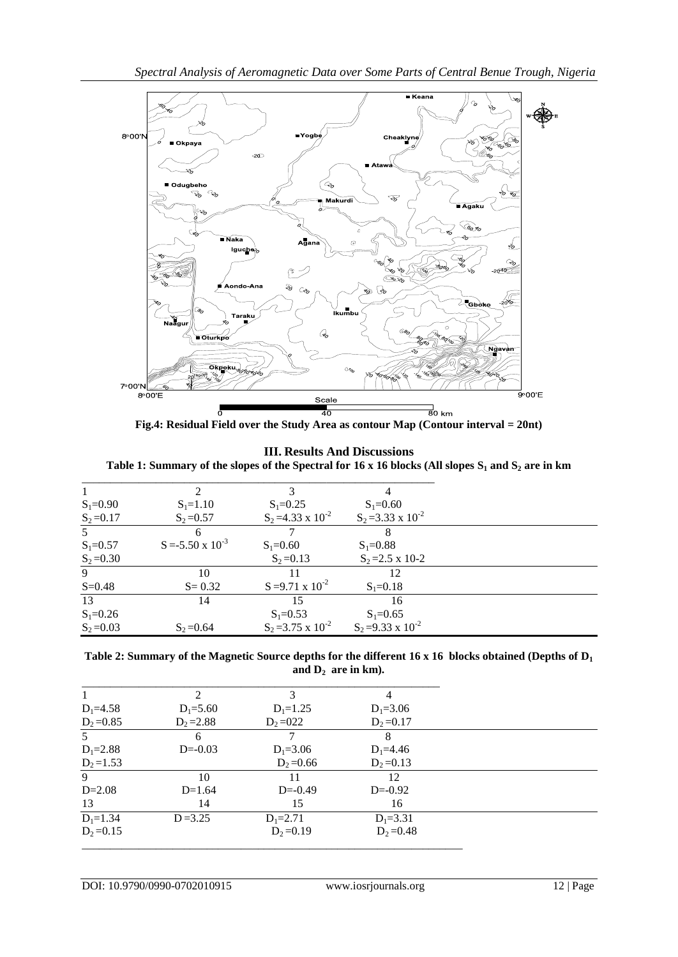

**Fig.4: Residual Field over the Study Area as contour Map (Contour interval = 20nt)**

# **III. Results And Discussions**

**Table 1: Summary of the slopes of the Spectral for 16 x 16 blocks (All slopes S<sup>1</sup> and S<sup>2</sup> are in km**

|              |                            | 3                           | 4                           |
|--------------|----------------------------|-----------------------------|-----------------------------|
| $S_1 = 0.90$ | $S_1 = 1.10$               | $S_1 = 0.25$                | $S_1 = 0.60$                |
| $S_2 = 0.17$ | $S_2 = 0.57$               | $S_2 = 4.33 \times 10^{-2}$ | $S_2 = 3.33 \times 10^{-2}$ |
| .5           | 6                          |                             |                             |
| $S_1 = 0.57$ | $S = -5.50 \times 10^{-3}$ | $S_1 = 0.60$                | $S_1 = 0.88$                |
| $S_2 = 0.30$ |                            | $S_2 = 0.13$                | $S_2 = 2.5 \times 10-2$     |
| 9            | 10                         |                             | 12                          |
| $S = 0.48$   | $S = 0.32$                 | $S = 9.71 \times 10^{-2}$   | $S_1 = 0.18$                |
| 13           | 14                         | 15                          | 16                          |
| $S_1 = 0.26$ |                            | $S_1 = 0.53$                | $S_1 = 0.65$                |
| $S_2 = 0.03$ | $S_2 = 0.64$               | $S_2 = 3.75 \times 10^{-2}$ | $S_2 = 9.33 \times 10^{-2}$ |

| Table 2: Summary of the Magnetic Source depths for the different 16 x 16 blocks obtained (Depths of $D_1$ |
|-----------------------------------------------------------------------------------------------------------|
| and $D_2$ are in km).                                                                                     |

|                | $\mathfrak{D}$ | 3             | 4            |
|----------------|----------------|---------------|--------------|
| $D_1 = 4.58$   | $D_1 = 5.60$   | $D_1 = 1.25$  | $D_1 = 3.06$ |
| $D_2 = 0.85$   | $D_2 = 2.88$   | $D_2 = 0.022$ | $D_2 = 0.17$ |
| 5 <sup>1</sup> | 6              |               | 8            |
| $D_1 = 2.88$   | $D=-0.03$      | $D_1 = 3.06$  | $D_1 = 4.46$ |
| $D_2 = 1.53$   |                | $D_2 = 0.66$  | $D_2 = 0.13$ |
| 9              | 10             | 11            | 12           |
| $D=2.08$       | $D=1.64$       | $D=-0.49$     | $D=-0.92$    |
| 13             | 14             | 15            | 16           |
| $D_1 = 1.34$   | $D = 3.25$     | $D_1 = 2.71$  | $D_1 = 3.31$ |
| $D_2 = 0.15$   |                | $D_2 = 0.19$  | $D_2 = 0.48$ |
|                |                |               |              |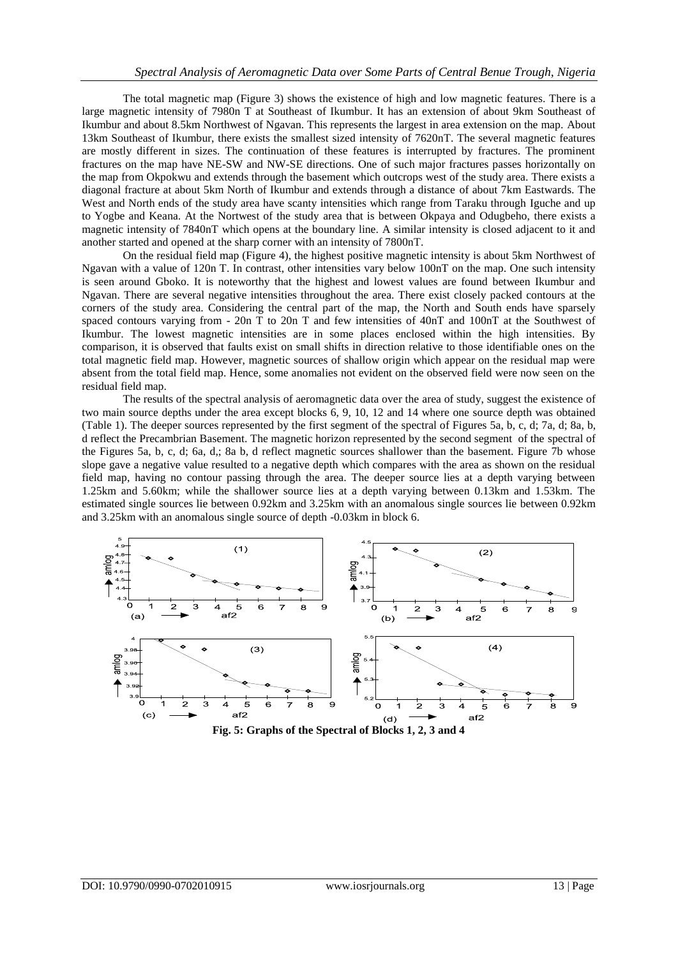The total magnetic map (Figure 3) shows the existence of high and low magnetic features. There is a large magnetic intensity of 7980n T at Southeast of Ikumbur. It has an extension of about 9km Southeast of Ikumbur and about 8.5km Northwest of Ngavan. This represents the largest in area extension on the map. About 13km Southeast of Ikumbur, there exists the smallest sized intensity of 7620nT. The several magnetic features are mostly different in sizes. The continuation of these features is interrupted by fractures. The prominent fractures on the map have NE-SW and NW-SE directions. One of such major fractures passes horizontally on the map from Okpokwu and extends through the basement which outcrops west of the study area. There exists a diagonal fracture at about 5km North of Ikumbur and extends through a distance of about 7km Eastwards. The West and North ends of the study area have scanty intensities which range from Taraku through Iguche and up to Yogbe and Keana. At the Nortwest of the study area that is between Okpaya and Odugbeho, there exists a magnetic intensity of 7840nT which opens at the boundary line. A similar intensity is closed adjacent to it and another started and opened at the sharp corner with an intensity of 7800nT.

On the residual field map (Figure 4), the highest positive magnetic intensity is about 5km Northwest of Ngavan with a value of 120n T. In contrast, other intensities vary below 100nT on the map. One such intensity is seen around Gboko. It is noteworthy that the highest and lowest values are found between Ikumbur and Ngavan. There are several negative intensities throughout the area. There exist closely packed contours at the corners of the study area. Considering the central part of the map, the North and South ends have sparsely spaced contours varying from - 20n T to 20n T and few intensities of 40nT and 100nT at the Southwest of Ikumbur. The lowest magnetic intensities are in some places enclosed within the high intensities. By comparison, it is observed that faults exist on small shifts in direction relative to those identifiable ones on the total magnetic field map. However, magnetic sources of shallow origin which appear on the residual map were absent from the total field map. Hence, some anomalies not evident on the observed field were now seen on the residual field map.

The results of the spectral analysis of aeromagnetic data over the area of study, suggest the existence of two main source depths under the area except blocks 6, 9, 10, 12 and 14 where one source depth was obtained (Table 1). The deeper sources represented by the first segment of the spectral of Figures 5a, b, c, d; 7a, d; 8a, b, d reflect the Precambrian Basement. The magnetic horizon represented by the second segment of the spectral of the Figures 5a, b, c, d; 6a, d,; 8a b, d reflect magnetic sources shallower than the basement. Figure 7b whose slope gave a negative value resulted to a negative depth which compares with the area as shown on the residual field map, having no contour passing through the area. The deeper source lies at a depth varying between 1.25km and 5.60km; while the shallower source lies at a depth varying between 0.13km and 1.53km. The estimated single sources lie between 0.92km and 3.25km with an anomalous single sources lie between 0.92km and 3.25km with an anomalous single source of depth -0.03km in block 6.



**Fig. 5: Graphs of the Spectral of Blocks 1, 2, 3 and 4**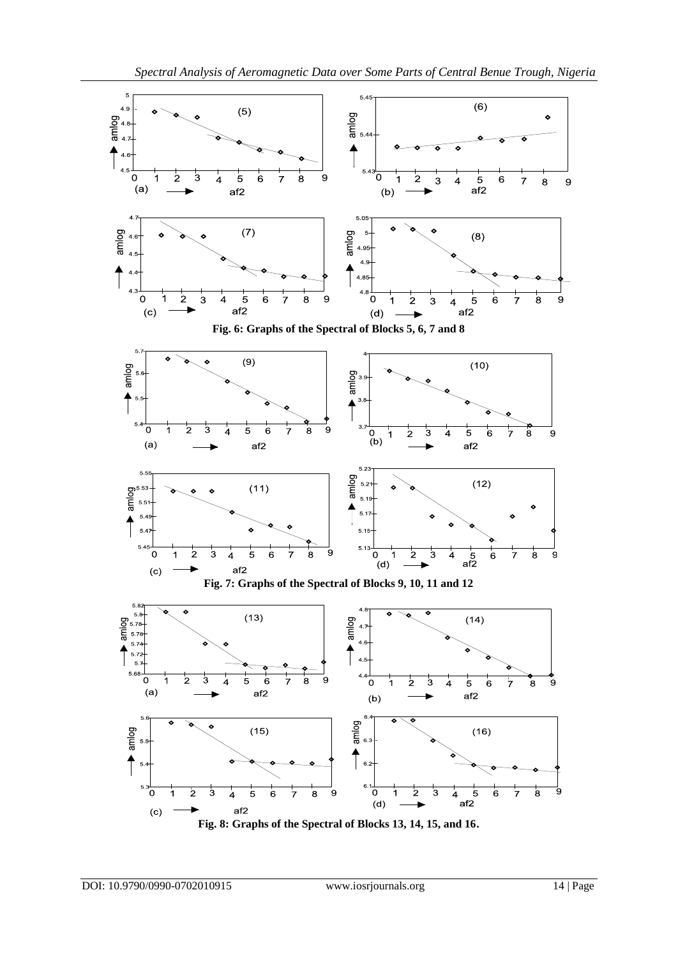